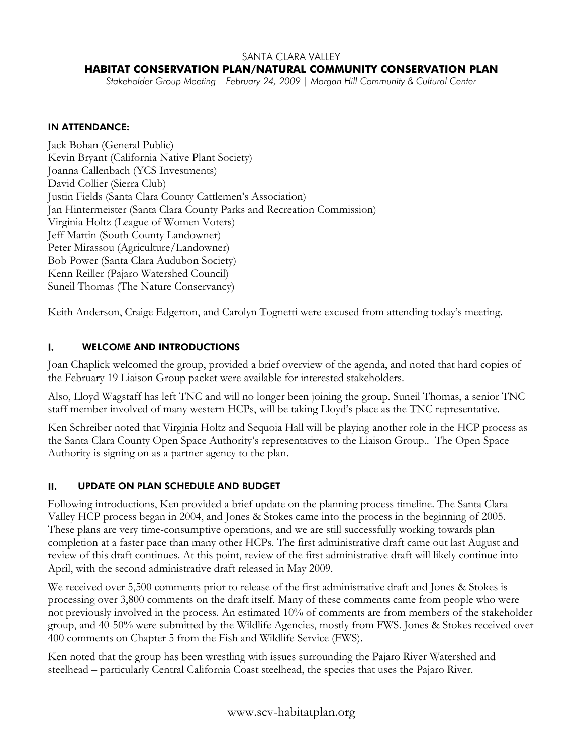#### SANTA CLARA VALLEY

# **HABITAT CONSERVATION PLAN/NATURAL COMMUNITY CONSERVATION PLAN**

*Stakeholder Group Meeting | February 24, 2009 | Morgan Hill Community & Cultural Center* 

#### IN ATTENDANCE:

Jack Bohan (General Public) Kevin Bryant (California Native Plant Society) Joanna Callenbach (YCS Investments) David Collier (Sierra Club) Justin Fields (Santa Clara County Cattlemen's Association) Jan Hintermeister (Santa Clara County Parks and Recreation Commission) Virginia Holtz (League of Women Voters) Jeff Martin (South County Landowner) Peter Mirassou (Agriculture/Landowner) Bob Power (Santa Clara Audubon Society) Kenn Reiller (Pajaro Watershed Council) Suneil Thomas (The Nature Conservancy)

Keith Anderson, Craige Edgerton, and Carolyn Tognetti were excused from attending today's meeting.

# I. WELCOME AND INTRODUCTIONS

Joan Chaplick welcomed the group, provided a brief overview of the agenda, and noted that hard copies of the February 19 Liaison Group packet were available for interested stakeholders.

Also, Lloyd Wagstaff has left TNC and will no longer been joining the group. Suneil Thomas, a senior TNC staff member involved of many western HCPs, will be taking Lloyd's place as the TNC representative.

Ken Schreiber noted that Virginia Holtz and Sequoia Hall will be playing another role in the HCP process as the Santa Clara County Open Space Authority's representatives to the Liaison Group.. The Open Space Authority is signing on as a partner agency to the plan.

#### II. UPDATE ON PLAN SCHEDULE AND BUDGET

Following introductions, Ken provided a brief update on the planning process timeline. The Santa Clara Valley HCP process began in 2004, and Jones & Stokes came into the process in the beginning of 2005. These plans are very time-consumptive operations, and we are still successfully working towards plan completion at a faster pace than many other HCPs. The first administrative draft came out last August and review of this draft continues. At this point, review of the first administrative draft will likely continue into April, with the second administrative draft released in May 2009.

We received over 5,500 comments prior to release of the first administrative draft and Jones & Stokes is processing over 3,800 comments on the draft itself. Many of these comments came from people who were not previously involved in the process. An estimated 10% of comments are from members of the stakeholder group, and 40-50% were submitted by the Wildlife Agencies, mostly from FWS. Jones & Stokes received over 400 comments on Chapter 5 from the Fish and Wildlife Service (FWS).

Ken noted that the group has been wrestling with issues surrounding the Pajaro River Watershed and steelhead – particularly Central California Coast steelhead, the species that uses the Pajaro River.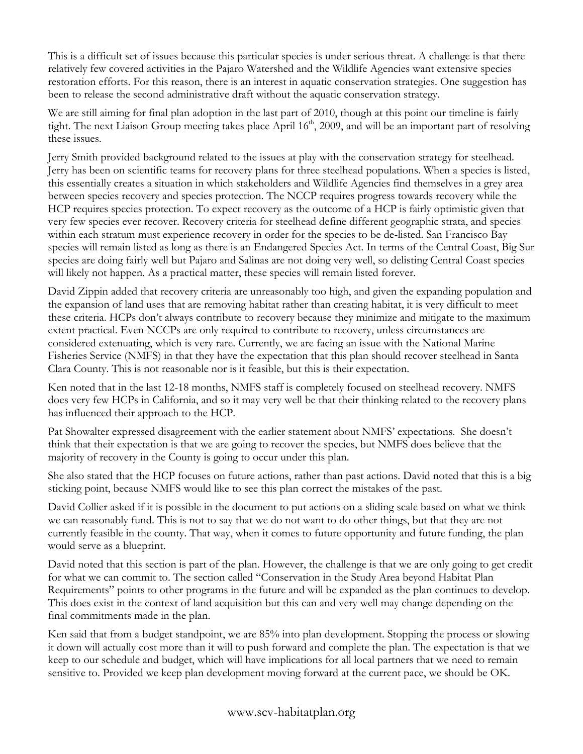This is a difficult set of issues because this particular species is under serious threat. A challenge is that there relatively few covered activities in the Pajaro Watershed and the Wildlife Agencies want extensive species restoration efforts. For this reason, there is an interest in aquatic conservation strategies. One suggestion has been to release the second administrative draft without the aquatic conservation strategy.

We are still aiming for final plan adoption in the last part of 2010, though at this point our timeline is fairly tight. The next Liaison Group meeting takes place April 16<sup>th</sup>, 2009, and will be an important part of resolving these issues.

Jerry Smith provided background related to the issues at play with the conservation strategy for steelhead. Jerry has been on scientific teams for recovery plans for three steelhead populations. When a species is listed, this essentially creates a situation in which stakeholders and Wildlife Agencies find themselves in a grey area between species recovery and species protection. The NCCP requires progress towards recovery while the HCP requires species protection. To expect recovery as the outcome of a HCP is fairly optimistic given that very few species ever recover. Recovery criteria for steelhead define different geographic strata, and species within each stratum must experience recovery in order for the species to be de-listed. San Francisco Bay species will remain listed as long as there is an Endangered Species Act. In terms of the Central Coast, Big Sur species are doing fairly well but Pajaro and Salinas are not doing very well, so delisting Central Coast species will likely not happen. As a practical matter, these species will remain listed forever.

David Zippin added that recovery criteria are unreasonably too high, and given the expanding population and the expansion of land uses that are removing habitat rather than creating habitat, it is very difficult to meet these criteria. HCPs don't always contribute to recovery because they minimize and mitigate to the maximum extent practical. Even NCCPs are only required to contribute to recovery, unless circumstances are considered extenuating, which is very rare. Currently, we are facing an issue with the National Marine Fisheries Service (NMFS) in that they have the expectation that this plan should recover steelhead in Santa Clara County. This is not reasonable nor is it feasible, but this is their expectation.

Ken noted that in the last 12-18 months, NMFS staff is completely focused on steelhead recovery. NMFS does very few HCPs in California, and so it may very well be that their thinking related to the recovery plans has influenced their approach to the HCP.

Pat Showalter expressed disagreement with the earlier statement about NMFS' expectations. She doesn't think that their expectation is that we are going to recover the species, but NMFS does believe that the majority of recovery in the County is going to occur under this plan.

She also stated that the HCP focuses on future actions, rather than past actions. David noted that this is a big sticking point, because NMFS would like to see this plan correct the mistakes of the past.

David Collier asked if it is possible in the document to put actions on a sliding scale based on what we think we can reasonably fund. This is not to say that we do not want to do other things, but that they are not currently feasible in the county. That way, when it comes to future opportunity and future funding, the plan would serve as a blueprint.

David noted that this section is part of the plan. However, the challenge is that we are only going to get credit for what we can commit to. The section called "Conservation in the Study Area beyond Habitat Plan Requirements" points to other programs in the future and will be expanded as the plan continues to develop. This does exist in the context of land acquisition but this can and very well may change depending on the final commitments made in the plan.

Ken said that from a budget standpoint, we are 85% into plan development. Stopping the process or slowing it down will actually cost more than it will to push forward and complete the plan. The expectation is that we keep to our schedule and budget, which will have implications for all local partners that we need to remain sensitive to. Provided we keep plan development moving forward at the current pace, we should be OK.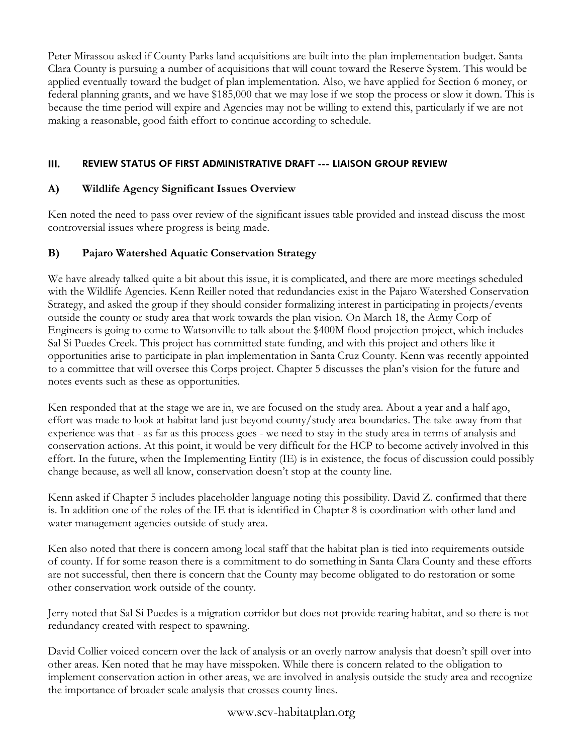Peter Mirassou asked if County Parks land acquisitions are built into the plan implementation budget. Santa Clara County is pursuing a number of acquisitions that will count toward the Reserve System. This would be applied eventually toward the budget of plan implementation. Also, we have applied for Section 6 money, or federal planning grants, and we have \$185,000 that we may lose if we stop the process or slow it down. This is because the time period will expire and Agencies may not be willing to extend this, particularly if we are not making a reasonable, good faith effort to continue according to schedule.

# III. REVIEW STATUS OF FIRST ADMINISTRATIVE DRAFT --- LIAISON GROUP REVIEW

# **A) Wildlife Agency Significant Issues Overview**

Ken noted the need to pass over review of the significant issues table provided and instead discuss the most controversial issues where progress is being made.

# **B) Pajaro Watershed Aquatic Conservation Strategy**

We have already talked quite a bit about this issue, it is complicated, and there are more meetings scheduled with the Wildlife Agencies. Kenn Reiller noted that redundancies exist in the Pajaro Watershed Conservation Strategy, and asked the group if they should consider formalizing interest in participating in projects/events outside the county or study area that work towards the plan vision. On March 18, the Army Corp of Engineers is going to come to Watsonville to talk about the \$400M flood projection project, which includes Sal Si Puedes Creek. This project has committed state funding, and with this project and others like it opportunities arise to participate in plan implementation in Santa Cruz County. Kenn was recently appointed to a committee that will oversee this Corps project. Chapter 5 discusses the plan's vision for the future and notes events such as these as opportunities.

Ken responded that at the stage we are in, we are focused on the study area. About a year and a half ago, effort was made to look at habitat land just beyond county/study area boundaries. The take-away from that experience was that - as far as this process goes - we need to stay in the study area in terms of analysis and conservation actions. At this point, it would be very difficult for the HCP to become actively involved in this effort. In the future, when the Implementing Entity (IE) is in existence, the focus of discussion could possibly change because, as well all know, conservation doesn't stop at the county line.

Kenn asked if Chapter 5 includes placeholder language noting this possibility. David Z. confirmed that there is. In addition one of the roles of the IE that is identified in Chapter 8 is coordination with other land and water management agencies outside of study area.

Ken also noted that there is concern among local staff that the habitat plan is tied into requirements outside of county. If for some reason there is a commitment to do something in Santa Clara County and these efforts are not successful, then there is concern that the County may become obligated to do restoration or some other conservation work outside of the county.

Jerry noted that Sal Si Puedes is a migration corridor but does not provide rearing habitat, and so there is not redundancy created with respect to spawning.

David Collier voiced concern over the lack of analysis or an overly narrow analysis that doesn't spill over into other areas. Ken noted that he may have misspoken. While there is concern related to the obligation to implement conservation action in other areas, we are involved in analysis outside the study area and recognize the importance of broader scale analysis that crosses county lines.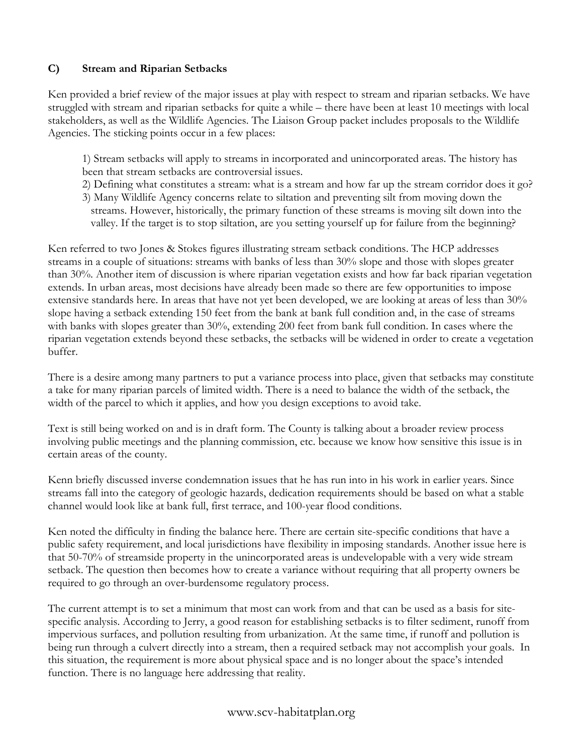# **C) Stream and Riparian Setbacks**

Ken provided a brief review of the major issues at play with respect to stream and riparian setbacks. We have struggled with stream and riparian setbacks for quite a while – there have been at least 10 meetings with local stakeholders, as well as the Wildlife Agencies. The Liaison Group packet includes proposals to the Wildlife Agencies. The sticking points occur in a few places:

1) Stream setbacks will apply to streams in incorporated and unincorporated areas. The history has been that stream setbacks are controversial issues.

- 2) Defining what constitutes a stream: what is a stream and how far up the stream corridor does it go?
- 3) Many Wildlife Agency concerns relate to siltation and preventing silt from moving down the streams. However, historically, the primary function of these streams is moving silt down into the valley. If the target is to stop siltation, are you setting yourself up for failure from the beginning?

Ken referred to two Jones & Stokes figures illustrating stream setback conditions. The HCP addresses streams in a couple of situations: streams with banks of less than 30% slope and those with slopes greater than 30%. Another item of discussion is where riparian vegetation exists and how far back riparian vegetation extends. In urban areas, most decisions have already been made so there are few opportunities to impose extensive standards here. In areas that have not yet been developed, we are looking at areas of less than 30% slope having a setback extending 150 feet from the bank at bank full condition and, in the case of streams with banks with slopes greater than 30%, extending 200 feet from bank full condition. In cases where the riparian vegetation extends beyond these setbacks, the setbacks will be widened in order to create a vegetation buffer.

There is a desire among many partners to put a variance process into place, given that setbacks may constitute a take for many riparian parcels of limited width. There is a need to balance the width of the setback, the width of the parcel to which it applies, and how you design exceptions to avoid take.

Text is still being worked on and is in draft form. The County is talking about a broader review process involving public meetings and the planning commission, etc. because we know how sensitive this issue is in certain areas of the county.

Kenn briefly discussed inverse condemnation issues that he has run into in his work in earlier years. Since streams fall into the category of geologic hazards, dedication requirements should be based on what a stable channel would look like at bank full, first terrace, and 100-year flood conditions.

Ken noted the difficulty in finding the balance here. There are certain site-specific conditions that have a public safety requirement, and local jurisdictions have flexibility in imposing standards. Another issue here is that 50-70% of streamside property in the unincorporated areas is undevelopable with a very wide stream setback. The question then becomes how to create a variance without requiring that all property owners be required to go through an over-burdensome regulatory process.

The current attempt is to set a minimum that most can work from and that can be used as a basis for sitespecific analysis. According to Jerry, a good reason for establishing setbacks is to filter sediment, runoff from impervious surfaces, and pollution resulting from urbanization. At the same time, if runoff and pollution is being run through a culvert directly into a stream, then a required setback may not accomplish your goals. In this situation, the requirement is more about physical space and is no longer about the space's intended function. There is no language here addressing that reality.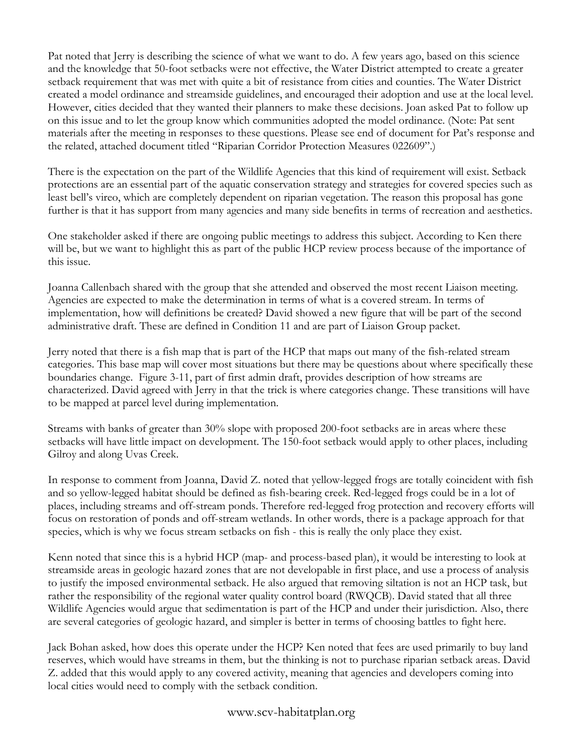Pat noted that Jerry is describing the science of what we want to do. A few years ago, based on this science and the knowledge that 50-foot setbacks were not effective, the Water District attempted to create a greater setback requirement that was met with quite a bit of resistance from cities and counties. The Water District created a model ordinance and streamside guidelines, and encouraged their adoption and use at the local level. However, cities decided that they wanted their planners to make these decisions. Joan asked Pat to follow up on this issue and to let the group know which communities adopted the model ordinance. (Note: Pat sent materials after the meeting in responses to these questions. Please see end of document for Pat's response and the related, attached document titled "Riparian Corridor Protection Measures 022609".)

There is the expectation on the part of the Wildlife Agencies that this kind of requirement will exist. Setback protections are an essential part of the aquatic conservation strategy and strategies for covered species such as least bell's vireo, which are completely dependent on riparian vegetation. The reason this proposal has gone further is that it has support from many agencies and many side benefits in terms of recreation and aesthetics.

One stakeholder asked if there are ongoing public meetings to address this subject. According to Ken there will be, but we want to highlight this as part of the public HCP review process because of the importance of this issue.

Joanna Callenbach shared with the group that she attended and observed the most recent Liaison meeting. Agencies are expected to make the determination in terms of what is a covered stream. In terms of implementation, how will definitions be created? David showed a new figure that will be part of the second administrative draft. These are defined in Condition 11 and are part of Liaison Group packet.

Jerry noted that there is a fish map that is part of the HCP that maps out many of the fish-related stream categories. This base map will cover most situations but there may be questions about where specifically these boundaries change. Figure 3-11, part of first admin draft, provides description of how streams are characterized. David agreed with Jerry in that the trick is where categories change. These transitions will have to be mapped at parcel level during implementation.

Streams with banks of greater than 30% slope with proposed 200-foot setbacks are in areas where these setbacks will have little impact on development. The 150-foot setback would apply to other places, including Gilroy and along Uvas Creek.

In response to comment from Joanna, David Z. noted that yellow-legged frogs are totally coincident with fish and so yellow-legged habitat should be defined as fish-bearing creek. Red-legged frogs could be in a lot of places, including streams and off-stream ponds. Therefore red-legged frog protection and recovery efforts will focus on restoration of ponds and off-stream wetlands. In other words, there is a package approach for that species, which is why we focus stream setbacks on fish - this is really the only place they exist.

Kenn noted that since this is a hybrid HCP (map- and process-based plan), it would be interesting to look at streamside areas in geologic hazard zones that are not developable in first place, and use a process of analysis to justify the imposed environmental setback. He also argued that removing siltation is not an HCP task, but rather the responsibility of the regional water quality control board (RWQCB). David stated that all three Wildlife Agencies would argue that sedimentation is part of the HCP and under their jurisdiction. Also, there are several categories of geologic hazard, and simpler is better in terms of choosing battles to fight here.

Jack Bohan asked, how does this operate under the HCP? Ken noted that fees are used primarily to buy land reserves, which would have streams in them, but the thinking is not to purchase riparian setback areas. David Z. added that this would apply to any covered activity, meaning that agencies and developers coming into local cities would need to comply with the setback condition.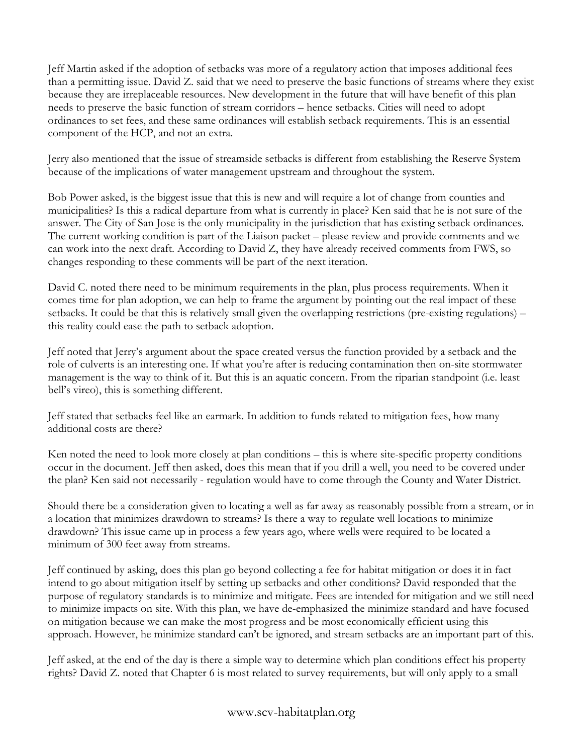Jeff Martin asked if the adoption of setbacks was more of a regulatory action that imposes additional fees than a permitting issue. David Z. said that we need to preserve the basic functions of streams where they exist because they are irreplaceable resources. New development in the future that will have benefit of this plan needs to preserve the basic function of stream corridors – hence setbacks. Cities will need to adopt ordinances to set fees, and these same ordinances will establish setback requirements. This is an essential component of the HCP, and not an extra.

Jerry also mentioned that the issue of streamside setbacks is different from establishing the Reserve System because of the implications of water management upstream and throughout the system.

Bob Power asked, is the biggest issue that this is new and will require a lot of change from counties and municipalities? Is this a radical departure from what is currently in place? Ken said that he is not sure of the answer. The City of San Jose is the only municipality in the jurisdiction that has existing setback ordinances. The current working condition is part of the Liaison packet – please review and provide comments and we can work into the next draft. According to David Z, they have already received comments from FWS, so changes responding to these comments will be part of the next iteration.

David C. noted there need to be minimum requirements in the plan, plus process requirements. When it comes time for plan adoption, we can help to frame the argument by pointing out the real impact of these setbacks. It could be that this is relatively small given the overlapping restrictions (pre-existing regulations) – this reality could ease the path to setback adoption.

Jeff noted that Jerry's argument about the space created versus the function provided by a setback and the role of culverts is an interesting one. If what you're after is reducing contamination then on-site stormwater management is the way to think of it. But this is an aquatic concern. From the riparian standpoint (i.e. least bell's vireo), this is something different.

Jeff stated that setbacks feel like an earmark. In addition to funds related to mitigation fees, how many additional costs are there?

Ken noted the need to look more closely at plan conditions – this is where site-specific property conditions occur in the document. Jeff then asked, does this mean that if you drill a well, you need to be covered under the plan? Ken said not necessarily - regulation would have to come through the County and Water District.

Should there be a consideration given to locating a well as far away as reasonably possible from a stream, or in a location that minimizes drawdown to streams? Is there a way to regulate well locations to minimize drawdown? This issue came up in process a few years ago, where wells were required to be located a minimum of 300 feet away from streams.

Jeff continued by asking, does this plan go beyond collecting a fee for habitat mitigation or does it in fact intend to go about mitigation itself by setting up setbacks and other conditions? David responded that the purpose of regulatory standards is to minimize and mitigate. Fees are intended for mitigation and we still need to minimize impacts on site. With this plan, we have de-emphasized the minimize standard and have focused on mitigation because we can make the most progress and be most economically efficient using this approach. However, he minimize standard can't be ignored, and stream setbacks are an important part of this.

Jeff asked, at the end of the day is there a simple way to determine which plan conditions effect his property rights? David Z. noted that Chapter 6 is most related to survey requirements, but will only apply to a small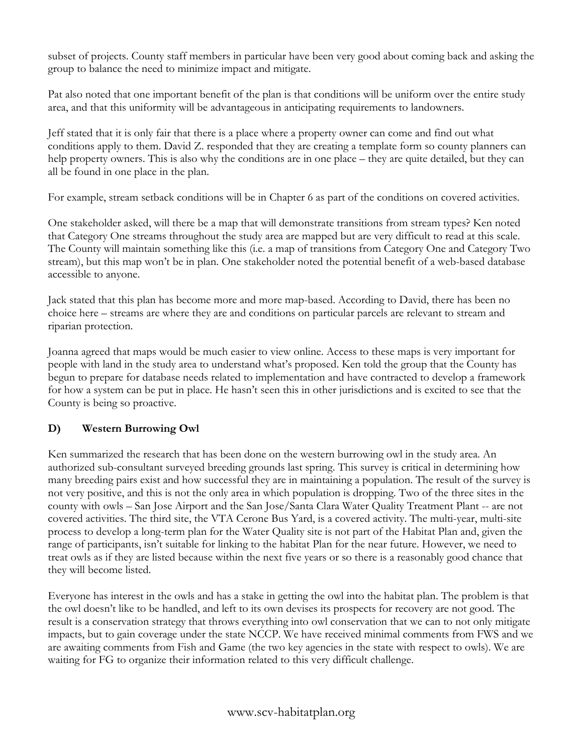subset of projects. County staff members in particular have been very good about coming back and asking the group to balance the need to minimize impact and mitigate.

Pat also noted that one important benefit of the plan is that conditions will be uniform over the entire study area, and that this uniformity will be advantageous in anticipating requirements to landowners.

Jeff stated that it is only fair that there is a place where a property owner can come and find out what conditions apply to them. David Z. responded that they are creating a template form so county planners can help property owners. This is also why the conditions are in one place – they are quite detailed, but they can all be found in one place in the plan.

For example, stream setback conditions will be in Chapter 6 as part of the conditions on covered activities.

One stakeholder asked, will there be a map that will demonstrate transitions from stream types? Ken noted that Category One streams throughout the study area are mapped but are very difficult to read at this scale. The County will maintain something like this (i.e. a map of transitions from Category One and Category Two stream), but this map won't be in plan. One stakeholder noted the potential benefit of a web-based database accessible to anyone.

Jack stated that this plan has become more and more map-based. According to David, there has been no choice here – streams are where they are and conditions on particular parcels are relevant to stream and riparian protection.

Joanna agreed that maps would be much easier to view online. Access to these maps is very important for people with land in the study area to understand what's proposed. Ken told the group that the County has begun to prepare for database needs related to implementation and have contracted to develop a framework for how a system can be put in place. He hasn't seen this in other jurisdictions and is excited to see that the County is being so proactive.

# **D) Western Burrowing Owl**

Ken summarized the research that has been done on the western burrowing owl in the study area. An authorized sub-consultant surveyed breeding grounds last spring. This survey is critical in determining how many breeding pairs exist and how successful they are in maintaining a population. The result of the survey is not very positive, and this is not the only area in which population is dropping. Two of the three sites in the county with owls – San Jose Airport and the San Jose/Santa Clara Water Quality Treatment Plant -- are not covered activities. The third site, the VTA Cerone Bus Yard, is a covered activity. The multi-year, multi-site process to develop a long-term plan for the Water Quality site is not part of the Habitat Plan and, given the range of participants, isn't suitable for linking to the habitat Plan for the near future. However, we need to treat owls as if they are listed because within the next five years or so there is a reasonably good chance that they will become listed.

Everyone has interest in the owls and has a stake in getting the owl into the habitat plan. The problem is that the owl doesn't like to be handled, and left to its own devises its prospects for recovery are not good. The result is a conservation strategy that throws everything into owl conservation that we can to not only mitigate impacts, but to gain coverage under the state NCCP. We have received minimal comments from FWS and we are awaiting comments from Fish and Game (the two key agencies in the state with respect to owls). We are waiting for FG to organize their information related to this very difficult challenge.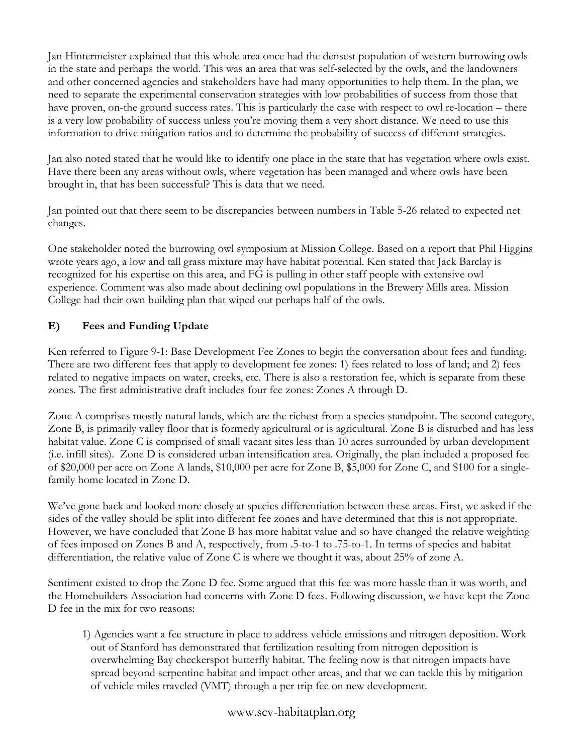Jan Hintermeister explained that this whole area once had the densest population of western burrowing owls in the state and perhaps the world. This was an area that was self-selected by the owls, and the landowners and other concerned agencies and stakeholders have had many opportunities to help them. In the plan, we need to separate the experimental conservation strategies with low probabilities of success from those that have proven, on-the ground success rates. This is particularly the case with respect to owl re-location – there is a very low probability of success unless you're moving them a very short distance. We need to use this information to drive mitigation ratios and to determine the probability of success of different strategies.

Jan also noted stated that he would like to identify one place in the state that has vegetation where owls exist. Have there been any areas without owls, where vegetation has been managed and where owls have been brought in, that has been successful? This is data that we need.

Jan pointed out that there seem to be discrepancies between numbers in Table 5-26 related to expected net changes.

One stakeholder noted the burrowing owl symposium at Mission College. Based on a report that Phil Higgins wrote years ago, a low and tall grass mixture may have habitat potential. Ken stated that Jack Barclay is recognized for his expertise on this area, and FG is pulling in other staff people with extensive owl experience. Comment was also made about declining owl populations in the Brewery Mills area. Mission College had their own building plan that wiped out perhaps half of the owls.

# **E) Fees and Funding Update**

Ken referred to Figure 9-1: Base Development Fee Zones to begin the conversation about fees and funding. There are two different fees that apply to development fee zones: 1) fees related to loss of land; and 2) fees related to negative impacts on water, creeks, etc. There is also a restoration fee, which is separate from these zones. The first administrative draft includes four fee zones: Zones A through D.

Zone A comprises mostly natural lands, which are the richest from a species standpoint. The second category, Zone B, is primarily valley floor that is formerly agricultural or is agricultural. Zone B is disturbed and has less habitat value. Zone C is comprised of small vacant sites less than 10 acres surrounded by urban development (i.e. infill sites). Zone D is considered urban intensification area. Originally, the plan included a proposed fee of \$20,000 per acre on Zone A lands, \$10,000 per acre for Zone B, \$5,000 for Zone C, and \$100 for a singlefamily home located in Zone D.

We've gone back and looked more closely at species differentiation between these areas. First, we asked if the sides of the valley should be split into different fee zones and have determined that this is not appropriate. However, we have concluded that Zone B has more habitat value and so have changed the relative weighting of fees imposed on Zones B and A, respectively, from .5-to-1 to .75-to-1. In terms of species and habitat differentiation, the relative value of Zone C is where we thought it was, about 25% of zone A.

Sentiment existed to drop the Zone D fee. Some argued that this fee was more hassle than it was worth, and the Homebuilders Association had concerns with Zone D fees. Following discussion, we have kept the Zone D fee in the mix for two reasons:

1) Agencies want a fee structure in place to address vehicle emissions and nitrogen deposition. Work out of Stanford has demonstrated that fertilization resulting from nitrogen deposition is overwhelming Bay checkerspot butterfly habitat. The feeling now is that nitrogen impacts have spread beyond serpentine habitat and impact other areas, and that we can tackle this by mitigation of vehicle miles traveled (VMT) through a per trip fee on new development.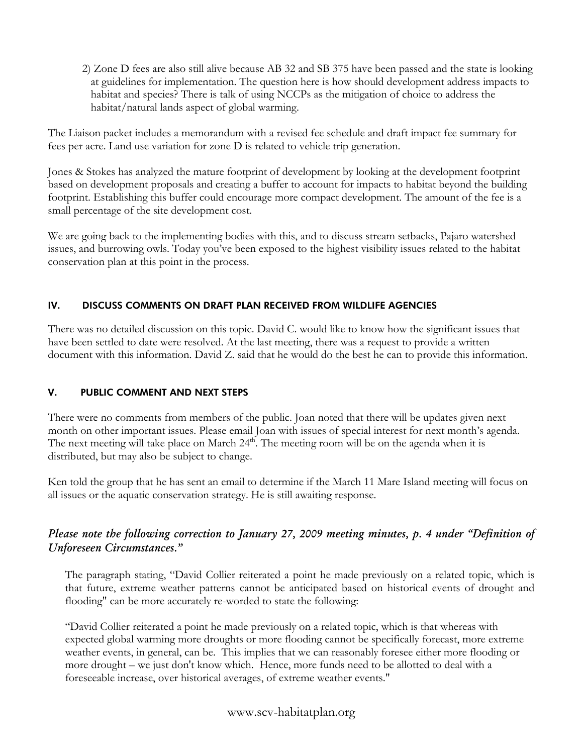2) Zone D fees are also still alive because AB 32 and SB 375 have been passed and the state is looking at guidelines for implementation. The question here is how should development address impacts to habitat and species? There is talk of using NCCPs as the mitigation of choice to address the habitat/natural lands aspect of global warming.

The Liaison packet includes a memorandum with a revised fee schedule and draft impact fee summary for fees per acre. Land use variation for zone D is related to vehicle trip generation.

Jones & Stokes has analyzed the mature footprint of development by looking at the development footprint based on development proposals and creating a buffer to account for impacts to habitat beyond the building footprint. Establishing this buffer could encourage more compact development. The amount of the fee is a small percentage of the site development cost.

We are going back to the implementing bodies with this, and to discuss stream setbacks, Pajaro watershed issues, and burrowing owls. Today you've been exposed to the highest visibility issues related to the habitat conservation plan at this point in the process.

# IV. DISCUSS COMMENTS ON DRAFT PLAN RECEIVED FROM WILDLIFE AGENCIES

There was no detailed discussion on this topic. David C. would like to know how the significant issues that have been settled to date were resolved. At the last meeting, there was a request to provide a written document with this information. David Z. said that he would do the best he can to provide this information.

# V. PUBLIC COMMENT AND NEXT STEPS

There were no comments from members of the public. Joan noted that there will be updates given next month on other important issues. Please email Joan with issues of special interest for next month's agenda. The next meeting will take place on March  $24<sup>th</sup>$ . The meeting room will be on the agenda when it is distributed, but may also be subject to change.

Ken told the group that he has sent an email to determine if the March 11 Mare Island meeting will focus on all issues or the aquatic conservation strategy. He is still awaiting response.

# *Please note the following correction to January 27, 2009 meeting minutes, p. 4 under "Definition of Unforeseen Circumstances."*

The paragraph stating, "David Collier reiterated a point he made previously on a related topic, which is that future, extreme weather patterns cannot be anticipated based on historical events of drought and flooding" can be more accurately re-worded to state the following:

"David Collier reiterated a point he made previously on a related topic, which is that whereas with expected global warming more droughts or more flooding cannot be specifically forecast, more extreme weather events, in general, can be. This implies that we can reasonably foresee either more flooding or more drought – we just don't know which. Hence, more funds need to be allotted to deal with a foreseeable increase, over historical averages, of extreme weather events."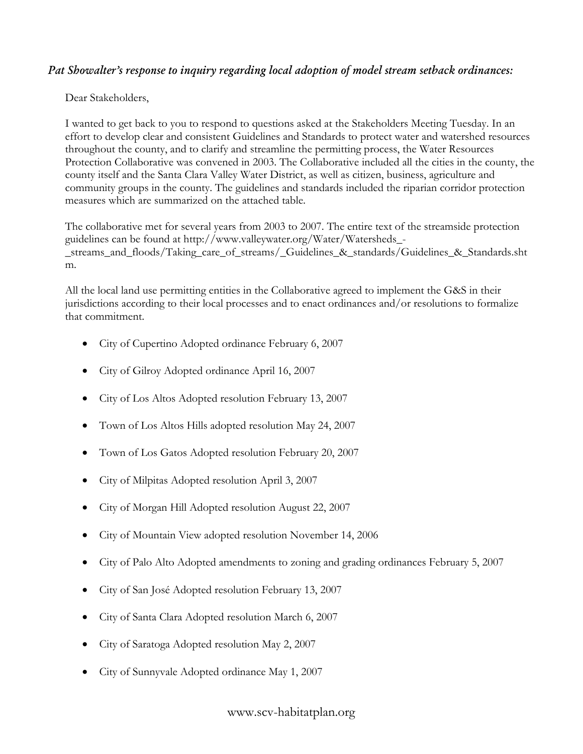# *Pat Showalter's response to inquiry regarding local adoption of model stream setback ordinances:*

Dear Stakeholders,

I wanted to get back to you to respond to questions asked at the Stakeholders Meeting Tuesday. In an effort to develop clear and consistent Guidelines and Standards to protect water and watershed resources throughout the county, and to clarify and streamline the permitting process, the Water Resources Protection Collaborative was convened in 2003. The Collaborative included all the cities in the county, the county itself and the Santa Clara Valley Water District, as well as citizen, business, agriculture and community groups in the county. The guidelines and standards included the riparian corridor protection measures which are summarized on the attached table.

The collaborative met for several years from 2003 to 2007. The entire text of the streamside protection guidelines can be found at http://www.valleywater.org/Water/Watersheds\_- \_streams\_and\_floods/Taking\_care\_of\_streams/\_Guidelines\_&\_standards/Guidelines\_&\_Standards.sht m.

All the local land use permitting entities in the Collaborative agreed to implement the G&S in their jurisdictions according to their local processes and to enact ordinances and/or resolutions to formalize that commitment.

- City of Cupertino Adopted ordinance February 6, 2007
- City of Gilroy Adopted ordinance April 16, 2007
- City of Los Altos Adopted resolution February 13, 2007
- Town of Los Altos Hills adopted resolution May 24, 2007
- Town of Los Gatos Adopted resolution February 20, 2007
- City of Milpitas Adopted resolution April 3, 2007
- City of Morgan Hill Adopted resolution August 22, 2007
- City of Mountain View adopted resolution November 14, 2006
- City of Palo Alto Adopted amendments to zoning and grading ordinances February 5, 2007
- City of San José Adopted resolution February 13, 2007
- City of Santa Clara Adopted resolution March 6, 2007
- City of Saratoga Adopted resolution May 2, 2007
- City of Sunnyvale Adopted ordinance May 1, 2007